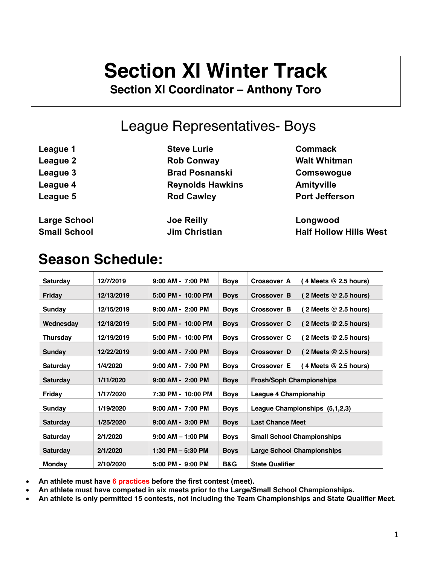# **Section XI Winter Track**

**Section XI Coordinator – Anthony Toro**

## League Representatives- Boys

| League 1            | <b>Steve Lurie</b>      | <b>Commack</b>        |
|---------------------|-------------------------|-----------------------|
| League 2            | <b>Rob Conway</b>       | <b>Walt Whitman</b>   |
| League 3            | <b>Brad Posnanski</b>   | Comsewogue            |
| League 4            | <b>Reynolds Hawkins</b> | <b>Amityville</b>     |
| League 5            | <b>Rod Cawley</b>       | <b>Port Jefferson</b> |
| <b>Large School</b> | <b>Joe Reilly</b>       | Longwood              |

**Small School Jim Christian Half Hollow Hills West**

## **Season Schedule:**

| <b>Saturday</b>                  | 12/7/2019  | $9:00$ AM - 7:00 PM   | <b>Boys</b>                   | Crossover A<br>( 4 Meets $@$ 2.5 hours)              |
|----------------------------------|------------|-----------------------|-------------------------------|------------------------------------------------------|
| Friday                           | 12/13/2019 | 5:00 PM - 10:00 PM    | <b>Boys</b>                   | Crossover B<br>$(2$ Meets $@$ 2.5 hours)             |
| Sunday                           | 12/15/2019 | $9:00$ AM - $2:00$ PM | <b>Boys</b>                   | $(2$ Meets $@$ 2.5 hours)<br><b>Crossover B</b>      |
| Wednesday                        | 12/18/2019 | 5:00 PM - 10:00 PM    | <b>Boys</b>                   | Crossover C<br>$(2$ Meets $@$ 2.5 hours)             |
| <b>Thursday</b>                  | 12/19/2019 | 5:00 PM - 10:00 PM    | <b>Boys</b>                   | $(2$ Meets $@$ 2.5 hours)<br>Crossover C             |
| Sunday                           | 12/22/2019 | $9:00$ AM - 7:00 PM   | <b>Boys</b>                   | (2 Meets $@$ 2.5 hours)<br>Crossover D               |
| <b>Saturday</b>                  | 1/4/2020   | $9:00$ AM - 7:00 PM   | <b>Boys</b>                   | $(4$ Meets $@$ 2.5 hours)<br><b>Crossover E</b>      |
| <b>Saturday</b>                  | 1/11/2020  | $9:00$ AM - $2:00$ PM | <b>Boys</b>                   | <b>Frosh/Soph Championships</b>                      |
| Friday                           | 1/17/2020  | 7:30 PM - 10:00 PM    | <b>Boys</b>                   | League 4 Championship                                |
| Sunday                           | 1/19/2020  | $9:00$ AM - 7:00 PM   | <b>Boys</b>                   | League Championships (5,1,2,3)                       |
| <b>Saturday</b>                  | 1/25/2020  | $9:00$ AM - $3:00$ PM | <b>Boys</b>                   | <b>Last Chance Meet</b>                              |
| <b>Saturday</b>                  | 2/1/2020   | $9:00$ AM $-$ 1:00 PM | <b>Boys</b>                   | <b>Small School Championships</b>                    |
|                                  | 2/1/2020   | 1:30 PM $-$ 5:30 PM   |                               |                                                      |
| <b>Saturday</b><br><b>Monday</b> | 2/10/2020  | $5:00$ PM - $9:00$ PM | <b>Boys</b><br><b>B&amp;G</b> | Large School Championships<br><b>State Qualifier</b> |
|                                  |            |                       |                               |                                                      |

• **An athlete must have 6 practices before the first contest (meet).**

- **An athlete must have competed in six meets prior to the Large/Small School Championships.**
- **An athlete is only permitted 15 contests, not including the Team Championships and State Qualifier Meet.**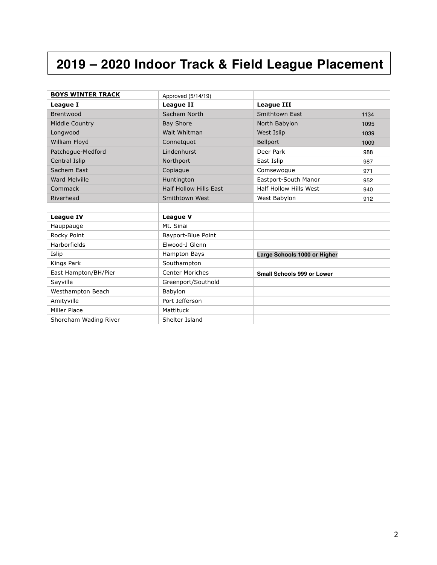## **2019 – 2020 Indoor Track & Field League Placement**

| <b>BOYS WINTER TRACK</b> | Approved (5/14/19)            |                              |      |
|--------------------------|-------------------------------|------------------------------|------|
| <b>League I</b>          | <b>League II</b>              | <b>League III</b>            |      |
| Brentwood                | Sachem North                  | Smithtown East               | 1134 |
| Middle Country           | <b>Bay Shore</b>              | North Babylon                | 1095 |
| Longwood                 | Walt Whitman                  | West Islip                   | 1039 |
| William Floyd            | Connetguot                    | Bellport                     | 1009 |
| Patchogue-Medford        | Lindenhurst                   | Deer Park                    | 988  |
| Central Islip            | Northport                     | East Islip                   | 987  |
| Sachem East              | Copiague                      | Comsewoque                   | 971  |
| <b>Ward Melville</b>     | Huntington                    | Eastport-South Manor         | 952  |
| Commack                  | <b>Half Hollow Hills Fast</b> | Half Hollow Hills West       | 940  |
| Riverhead                | Smithtown West                | West Babylon                 | 912  |
|                          |                               |                              |      |
| <b>League IV</b>         | <b>League V</b>               |                              |      |
| Hauppauge                | Mt. Sinai                     |                              |      |
| Rocky Point              | Bayport-Blue Point            |                              |      |
| Harborfields             | Elwood-J Glenn                |                              |      |
| Islip                    | Hampton Bays                  | Large Schools 1000 or Higher |      |
| Kings Park               | Southampton                   |                              |      |
| East Hampton/BH/Pier     | <b>Center Moriches</b>        | Small Schools 999 or Lower   |      |
| Sayville                 | Greenport/Southold            |                              |      |
| Westhampton Beach        | Babylon                       |                              |      |
| Amityville               | Port Jefferson                |                              |      |
| Miller Place             | Mattituck                     |                              |      |
| Shoreham Wading River    | Shelter Island                |                              |      |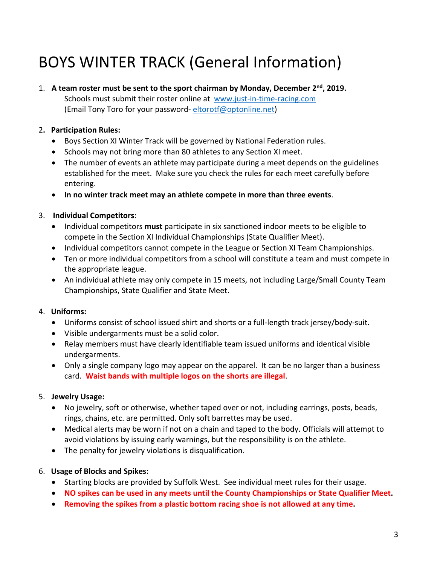# BOYS WINTER TRACK (General Information)

#### 1. **A team roster must be sent to the sport chairman by Monday, December 2nd, 2019.**

Schools must submit their roster online at www.just-in-time-racing.com (Email Tony Toro for your password- eltorotf@optonline.net)

#### 2**. Participation Rules:**

- Boys Section XI Winter Track will be governed by National Federation rules.
- Schools may not bring more than 80 athletes to any Section XI meet.
- The number of events an athlete may participate during a meet depends on the guidelines established for the meet. Make sure you check the rules for each meet carefully before entering.
- **In no winter track meet may an athlete compete in more than three events**.

#### 3. **Individual Competitors**:

- Individual competitors **must** participate in six sanctioned indoor meets to be eligible to compete in the Section XI Individual Championships (State Qualifier Meet).
- Individual competitors cannot compete in the League or Section XI Team Championships.
- Ten or more individual competitors from a school will constitute a team and must compete in the appropriate league.
- An individual athlete may only compete in 15 meets, not including Large/Small County Team Championships, State Qualifier and State Meet.

#### 4. **Uniforms:**

- Uniforms consist of school issued shirt and shorts or a full-length track jersey/body-suit.
- Visible undergarments must be a solid color.
- Relay members must have clearly identifiable team issued uniforms and identical visible undergarments.
- Only a single company logo may appear on the apparel. It can be no larger than a business card. **Waist bands with multiple logos on the shorts are illegal**.

#### 5. **Jewelry Usage:**

- No jewelry, soft or otherwise, whether taped over or not, including earrings, posts, beads, rings, chains, etc. are permitted. Only soft barrettes may be used.
- Medical alerts may be worn if not on a chain and taped to the body. Officials will attempt to avoid violations by issuing early warnings, but the responsibility is on the athlete.
- The penalty for jewelry violations is disqualification.
- 6. **Usage of Blocks and Spikes:**
	- Starting blocks are provided by Suffolk West. See individual meet rules for their usage.
	- **NO spikes can be used in any meets until the County Championships or State Qualifier Meet.**
	- **Removing the spikes from a plastic bottom racing shoe is not allowed at any time.**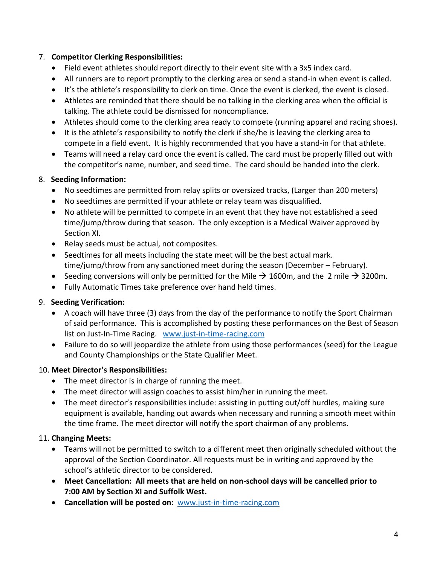#### 7. **Competitor Clerking Responsibilities:**

- Field event athletes should report directly to their event site with a 3x5 index card.
- All runners are to report promptly to the clerking area or send a stand-in when event is called.
- It's the athlete's responsibility to clerk on time. Once the event is clerked, the event is closed.
- Athletes are reminded that there should be no talking in the clerking area when the official is talking. The athlete could be dismissed for noncompliance.
- Athletes should come to the clerking area ready to compete (running apparel and racing shoes).
- It is the athlete's responsibility to notify the clerk if she/he is leaving the clerking area to compete in a field event. It is highly recommended that you have a stand-in for that athlete.
- Teams will need a relay card once the event is called. The card must be properly filled out with the competitor's name, number, and seed time. The card should be handed into the clerk.

#### 8. **Seeding Information:**

- No seedtimes are permitted from relay splits or oversized tracks, (Larger than 200 meters)
- No seedtimes are permitted if your athlete or relay team was disqualified.
- No athlete will be permitted to compete in an event that they have not established a seed time/jump/throw during that season. The only exception is a Medical Waiver approved by Section XI.
- Relay seeds must be actual, not composites.
- Seedtimes for all meets including the state meet will be the best actual mark. time/jump/throw from any sanctioned meet during the season (December – February).
- Seeding conversions will only be permitted for the Mile  $\rightarrow$  1600m, and the 2 mile  $\rightarrow$  3200m.
- Fully Automatic Times take preference over hand held times.

#### 9. **Seeding Verification:**

- A coach will have three (3) days from the day of the performance to notify the Sport Chairman of said performance. This is accomplished by posting these performances on the Best of Season list on Just-In-Time Racing. www.just-in-time-racing.com
- Failure to do so will jeopardize the athlete from using those performances (seed) for the League and County Championships or the State Qualifier Meet.

#### 10. **Meet Director's Responsibilities:**

- The meet director is in charge of running the meet.
- The meet director will assign coaches to assist him/her in running the meet.
- The meet director's responsibilities include: assisting in putting out/off hurdles, making sure equipment is available, handing out awards when necessary and running a smooth meet within the time frame. The meet director will notify the sport chairman of any problems.

#### 11. **Changing Meets:**

- Teams will not be permitted to switch to a different meet then originally scheduled without the approval of the Section Coordinator. All requests must be in writing and approved by the school's athletic director to be considered.
- **Meet Cancellation: All meets that are held on non-school days will be cancelled prior to 7:00 AM by Section XI and Suffolk West.**
- **Cancellation will be posted on**: www.just-in-time-racing.com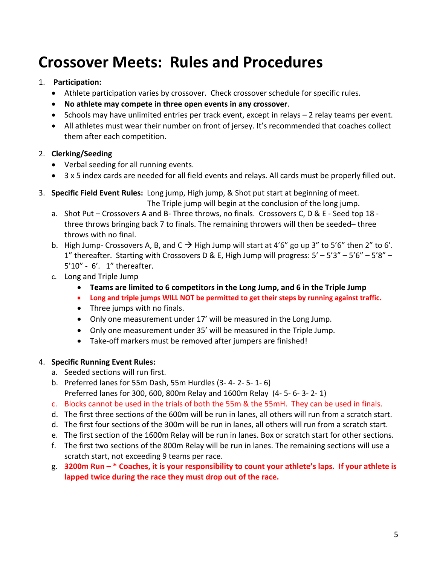# **Crossover Meets: Rules and Procedures**

#### 1. **Participation:**

- Athlete participation varies by crossover. Check crossover schedule for specific rules.
- **No athlete may compete in three open events in any crossover**.
- Schools may have unlimited entries per track event, except in relays 2 relay teams per event.
- All athletes must wear their number on front of jersey. It's recommended that coaches collect them after each competition.

#### 2. **Clerking/Seeding**

- Verbal seeding for all running events.
- 3 x 5 index cards are needed for all field events and relays. All cards must be properly filled out.
- 3. **Specific Field Event Rules:** Long jump, High jump, & Shot put start at beginning of meet.

The Triple jump will begin at the conclusion of the long jump.

- a. Shot Put Crossovers A and B- Three throws, no finals. Crossovers C, D & E Seed top 18 three throws bringing back 7 to finals. The remaining throwers will then be seeded– three throws with no final.
- b. High Jump- Crossovers A, B, and  $C \rightarrow H$  High Jump will start at 4'6" go up 3" to 5'6" then 2" to 6'. 1" thereafter. Starting with Crossovers D & E, High Jump will progress:  $5' - 5'3'' - 5'6'' - 5'8'' - 1$ 5'10" - 6'. 1" thereafter.
- c. Long and Triple Jump
	- **Teams are limited to 6 competitors in the Long Jump, and 6 in the Triple Jump**
	- **Long and triple jumps WILL NOT be permitted to get their steps by running against traffic.**
	- Three jumps with no finals.
	- Only one measurement under 17' will be measured in the Long Jump.
	- Only one measurement under 35' will be measured in the Triple Jump.
	- Take-off markers must be removed after jumpers are finished!

#### 4. **Specific Running Event Rules:**

- a. Seeded sections will run first.
- b. Preferred lanes for 55m Dash, 55m Hurdles (3- 4- 2- 5- 1- 6) Preferred lanes for 300, 600, 800m Relay and 1600m Relay (4- 5- 6- 3- 2- 1)
- c. Blocks cannot be used in the trials of both the 55m & the 55mH. They can be used in finals.
- d. The first three sections of the 600m will be run in lanes, all others will run from a scratch start.
- d. The first four sections of the 300m will be run in lanes, all others will run from a scratch start.
- e. The first section of the 1600m Relay will be run in lanes. Box or scratch start for other sections.
- f. The first two sections of the 800m Relay will be run in lanes. The remaining sections will use a scratch start, not exceeding 9 teams per race.
- g. **3200m Run – \* Coaches, it is your responsibility to count your athlete's laps. If your athlete is lapped twice during the race they must drop out of the race.**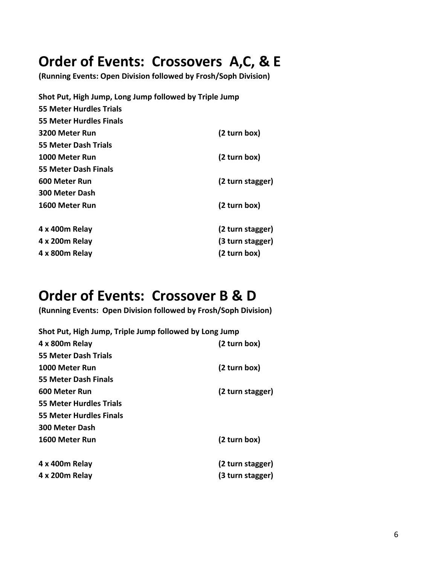# **Order of Events: Crossovers A,C, & E** (Running Events: Open Division followed by Frosh/Soph Division)

| Shot Put, High Jump, Long Jump followed by Triple Jump |                  |
|--------------------------------------------------------|------------------|
| 55 Meter Hurdles Trials                                |                  |
| 55 Meter Hurdles Finals                                |                  |
| 3200 Meter Run                                         | (2 turn box)     |
| 55 Meter Dash Trials                                   |                  |
| 1000 Meter Run                                         | (2 turn box)     |
| 55 Meter Dash Finals                                   |                  |
| 600 Meter Run                                          | (2 turn stagger) |
| <b>300 Meter Dash</b>                                  |                  |
| 1600 Meter Run                                         | (2 turn box)     |
| 4 x 400m Relay                                         | (2 turn stagger) |
| 4 x 200m Relay                                         | (3 turn stagger) |
| 4 x 800m Relay                                         | (2 turn box)     |

# **Order of Events: Crossover B & D**<br>(Running Events: Open Division followed by Frosh/Soph Division)

| Shot Put, High Jump, Triple Jump followed by Long Jump |                  |
|--------------------------------------------------------|------------------|
| 4 x 800m Relay                                         | (2 turn box)     |
| <b>55 Meter Dash Trials</b>                            |                  |
| 1000 Meter Run                                         | (2 turn box)     |
| 55 Meter Dash Finals                                   |                  |
| 600 Meter Run                                          | (2 turn stagger) |
| 55 Meter Hurdles Trials                                |                  |
| 55 Meter Hurdles Finals                                |                  |
| <b>300 Meter Dash</b>                                  |                  |
| 1600 Meter Run                                         | (2 turn box)     |
| 4 x 400m Relay                                         | (2 turn stagger) |
| 4 x 200m Relay                                         | (3 turn stagger) |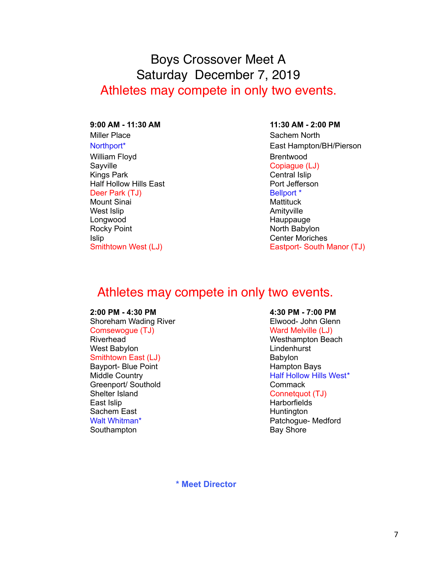## Boys Crossover Meet A Saturday December 7, 2019 Athletes may compete in only two events.

#### **9:00 AM - 11:30 AM 11:30 AM - 2:00 PM**

Miller Place Sachem North William Floyd **Brentwood** Sayville **Copiague (LJ)** Kings Park **Central Islip** Half Hollow Hills East **Port Jefferson** Deer Park (TJ) Bellport \* Mount Sinai **Mattituck** Mattituck West Islip **Amityville** Longwood **Hauppauge** Rocky Point North Babylon Islip Center Moriches

Northport\* East Hampton/BH/Pierson Smithtown West (LJ) Smithtown West (LJ) Eastport- South Manor (TJ)

## Athletes may compete in only two events.

Shoreham Wading River **Elwood- John Glenn** Comsewogue (TJ) Now The Manus Ward Melville (LJ) Riverhead Westhampton Beach West Babylon **Lindenhurst** Smithtown East (LJ) Babylon Bayport- Blue Point **Hampton Bays** Greenport/ Southold Commack Shelter Island Connetguot (TJ) East Islip **Harborfields** Sachem East **Huntington** Walt Whitman\* The Contract of the Patchoque- Medford Southampton **Bay Shore** Bay Shore

#### **2:00 PM - 4:30 PM 4:30 PM - 7:00 PM**

Middle Country Half Hollow Hills West\*

**\* Meet Director**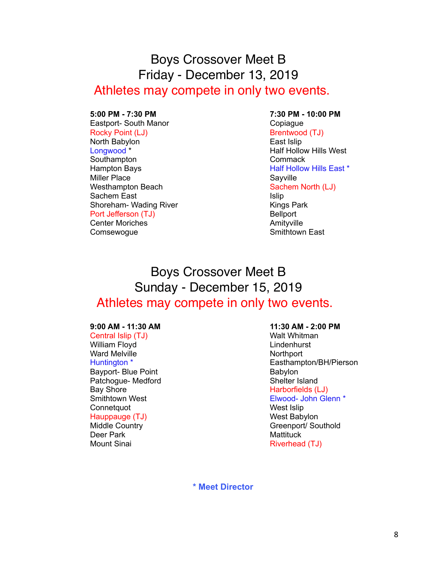## Boys Crossover Meet B Friday - December 13, 2019 Athletes may compete in only two events.

#### **5:00 PM - 7:30 PM 7:30 PM - 10:00 PM**

Eastport- South Manor Copiague Rocky Point (LJ) Brentwood (TJ) North Babylon **East Islip** Longwood \* The Constantine Market Half Hollow Hills West Southampton **Commack** Hampton Bays **Half Hollow Hills East \*** Miller Place Sayville Westhampton Beach Sachem North (LJ) Sachem East **Islip** Islip Shoreham- Wading River **Kings Park** Kings Park Port Jefferson (TJ) Bellport Center Moriches **Amityville** 

# Comsewogue **Smithtown East**

## Boys Crossover Meet B Sunday - December 15, 2019 Athletes may compete in only two events.

Central Islip (TJ) Walt Whitman William Floyd **Lindenhurst** Ward Melville Northport Bayport- Blue Point Babylon Patchogue- Medford Shelter Island Bay Shore **Harborfields** (LJ) Connetquot **West Islip** Hauppauge (TJ) Mest Babylon Deer Park Mattituck

#### **9:00 AM - 11:30 AM 11:30 AM - 2:00 PM**

Huntington \* Easthampton/BH/Pierson Smithtown West **Elwood- John Glenn** \* Middle Country **Greenport** Greenport Southold Mount Sinai **Riverhead (TJ)** 

**\* Meet Director**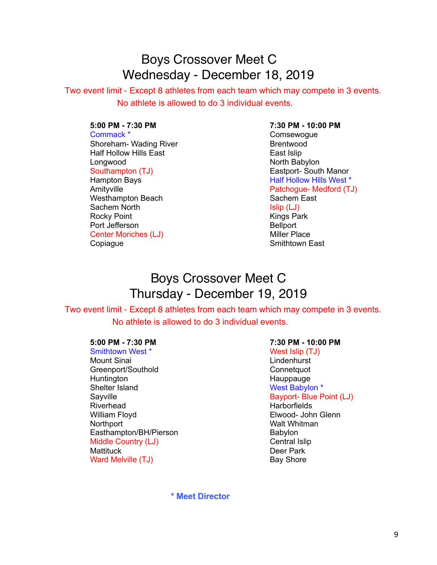## Boys Crossover Meet C Wednesday - December 18, 2019

 Two event limit - Except 8 athletes from each team which may compete in 3 events. No athlete is allowed to do 3 individual events.

Commack \* Comsewogue Shoreham- Wading River **Brentwood** Half Hollow Hills East **East Access** East Islip Longwood **North Babylon** Southampton (TJ) Southampton (TJ) Eastport- South Manor

Westhampton Beach Sachem East Sachem North Islip (LJ)<br>
Rocky Point Islam Islam Islam Islam Islam Islam Islam Islam Islam Islam Islam Islam Islam Islam Islam Islam I<br>
Islam Islam Islam Islam Islam Islam Islam Islam Islam Islam Islam Islam Islam Islam Is Rocky Point Port Jefferson **Belluman** Bellport Center Moriches (LJ) Miller Place Copiague **Smithtown East** 

#### **5:00 PM - 7:30 PM 7:30 PM - 10:00 PM**

Hampton Bays **Half Hollow Hills West** \* Amityville **Patchogue- Medford (TJ)** 

## Boys Crossover Meet C Thursday - December 19, 2019

 Two event limit - Except 8 athletes from each team which may compete in 3 events. No athlete is allowed to do 3 individual events.

Smithtown West \* West Islip (TJ) Mount Sinai **Mount Sinai** Lindenhurst Greenport/Southold Connetquot Huntington **Hauppauge** Shelter Island West Babylon \* Sayville **Bayport- Blue Point (LJ)** Riverhead **Harborfields** William Floyd **Elwood- John Glenn** Northport Walt Whitman Easthampton/BH/Pierson Babylon Middle Country (LJ) and the Country of the Central Islip Mattituck **Deer Park** Ward Melville (TJ) Bay Shore

#### **5:00 PM - 7:30 PM 7:30 PM - 10:00 PM**

 **\* Meet Director**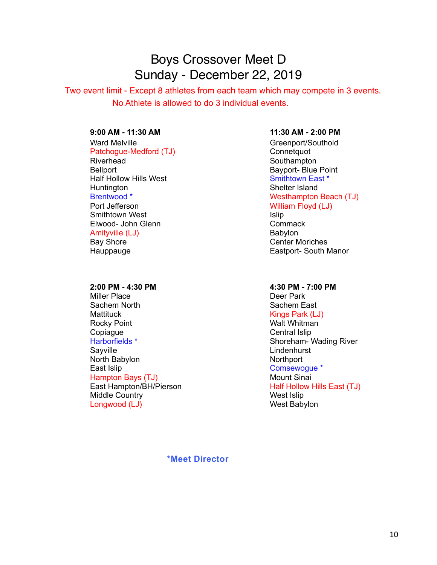## Boys Crossover Meet D Sunday - December 22, 2019

 Two event limit - Except 8 athletes from each team which may compete in 3 events. No Athlete is allowed to do 3 individual events.

Ward Melville **Greenport** Greenport/Southold Patchogue-Medford (TJ) Connetquot Riverhead Southampton Bellport Blue Point Half Hollow Hills West News Assessment Control of the Smithtown East \* Huntington Shelter Island Port Jefferson **Nights Property** William Floyd (LJ) Smithtown West **Islip Islip** Elwood- John Glenn Commack Amityville (LJ) Babylon Bay Shore **Center Moriches** Hauppauge **Eastport-** South Manor

Miller Place **Deer Park** Sachem North **Sachem East** Mattituck **Kings Park (LJ)** Rocky Point **No. 2008** Walt Whitman Copiague **Copiague Central Islip** Harborfields \* Shoreham- Wading River Sayville **Says and Contract Contract Contract Contract Contract Contract Contract Contract Contract Contract Contract Contract Contract Contract Contract Contract Contract Contract Contract Contract Contract Contract Contr** North Babylon Northport East Islip **East Islip** Comsewogue \* Hampton Bays (TJ) Mount Sinai East Hampton/BH/Pierson **Half Hollow Hills East (TJ)** Middle Country **West Islip** Longwood (LJ) and the contract of the West Babylon

#### **9:00 AM - 11:30 AM 11:30 AM - 2:00 PM**

Brentwood \* Network and Mesthampton Beach (TJ)

#### **2:00 PM - 4:30 PM 4:30 PM - 7:00 PM**

#### **\*Meet Director**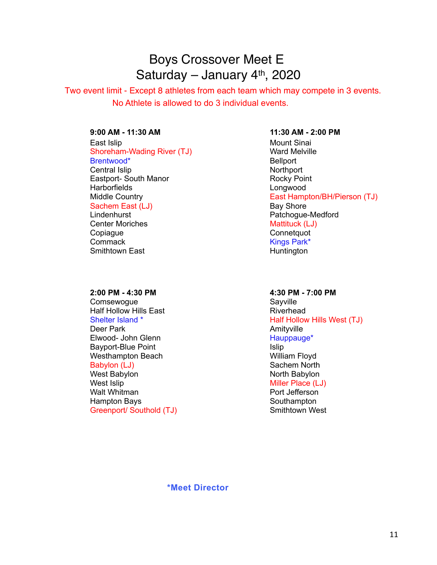## Boys Crossover Meet E Saturday – January 4<sup>th</sup>, 2020

 Two event limit - Except 8 athletes from each team which may compete in 3 events. No Athlete is allowed to do 3 individual events.

East Islip **Mount Sinai** Shoreham-Wading River (TJ) Ward Melville Brentwood\* Bellport Central Islip Northport Eastport- South Manor **Rocky Point** Rocky Point Harborfields **Longwood** Sachem East (LJ) Bay Shore

Center Moriches **Mattituck** (LJ) Copiague **Connetguot** Connetguot Commack **Kings Park\*** Smithtown East **Huntington** 

Comsewogue Comsewogue<br>
Half Hollow Hills East Company Company Sayville Half Hollow Hills East<br>Shelter Island \* Deer Park **Amityville** Elwood- John Glenn Hauppauge\* Bayport-Blue Point **Islip** Westhampton Beach Westhampton Beach Babylon (LJ) Sachem North West Babylon North Babylon West Islip Miller Place (LJ) Walt Whitman **Port Jefferson** Hampton Bays **Southampton** Bays **Southampton** Greenport/ Southold (TJ) Smithtown West

#### **9:00 AM - 11:30 AM 11:30 AM - 2:00 PM**

Middle Country **East Hampton/BH/Pierson (TJ)** Lindenhurst **Patchogue-Medford** 

#### **2:00 PM - 4:30 PM 4:30 PM - 7:00 PM**

Half Hollow Hills West (TJ)

#### **\*Meet Director**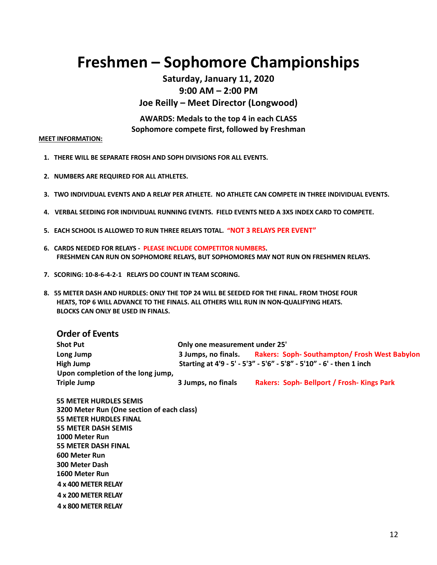## **Freshmen – Sophomore Championships**

#### **Saturday, January 11, 2020 9:00 AM – 2:00 PM Joe Reilly – Meet Director (Longwood)**

**AWARDS: Medals to the top 4 in each CLASS Sophomore compete first, followed by Freshman**

#### **MEET INFORMATION:**

- **1. THERE WILL BE SEPARATE FROSH AND SOPH DIVISIONS FOR ALL EVENTS.**
- **2. NUMBERS ARE REQUIRED FOR ALL ATHLETES.**
- **3. TWO INDIVIDUAL EVENTS AND A RELAY PER ATHLETE. NO ATHLETE CAN COMPETE IN THREE INDIVIDUAL EVENTS.**
- **4. VERBAL SEEDING FOR INDIVIDUAL RUNNING EVENTS. FIELD EVENTS NEED A 3X5 INDEX CARD TO COMPETE.**
- **5. EACH SCHOOL IS ALLOWED TO RUN THREE RELAYS TOTAL. "NOT 3 RELAYS PER EVENT"**
- **6. CARDS NEEDED FOR RELAYS - PLEASE INCLUDE COMPETITOR NUMBERS. FRESHMEN CAN RUN ON SOPHOMORE RELAYS, BUT SOPHOMORES MAY NOT RUN ON FRESHMEN RELAYS.**
- **7. SCORING: 10-8-6-4-2-1 RELAYS DO COUNT IN TEAM SCORING.**
- **8. 55 METER DASH AND HURDLES: ONLY THE TOP 24 WILL BE SEEDED FOR THE FINAL. FROM THOSE FOUR HEATS, TOP 6 WILL ADVANCE TO THE FINALS. ALL OTHERS WILL RUN IN NON-QUALIFYING HEATS. BLOCKS CAN ONLY BE USED IN FINALS.**

### **Order of Events**

| <b>Shot Put</b>                   | Only one measurement under 25'                                       |                                                    |  |
|-----------------------------------|----------------------------------------------------------------------|----------------------------------------------------|--|
| Long Jump                         | 3 Jumps, no finals.                                                  | <b>Rakers: Soph-Southampton/Frosh West Babylon</b> |  |
| High Jump                         | Starting at 4'9 - 5' - 5'3" - 5'6" - 5'8" - 5'10" - 6' - then 1 inch |                                                    |  |
| Upon completion of the long jump, |                                                                      |                                                    |  |
| Triple Jump                       | 3 Jumps, no finals                                                   | Rakers: Soph- Bellport / Frosh- Kings Park         |  |

 **55 METER HURDLES SEMIS 3200 Meter Run (One section of each class) 55 METER HURDLES FINAL 55 METER DASH SEMIS 1000 Meter Run 55 METER DASH FINAL 600 Meter Run 300 Meter Dash 1600 Meter Run 4 x 400 METER RELAY 4 x 200 METER RELAY 4 x 800 METER RELAY**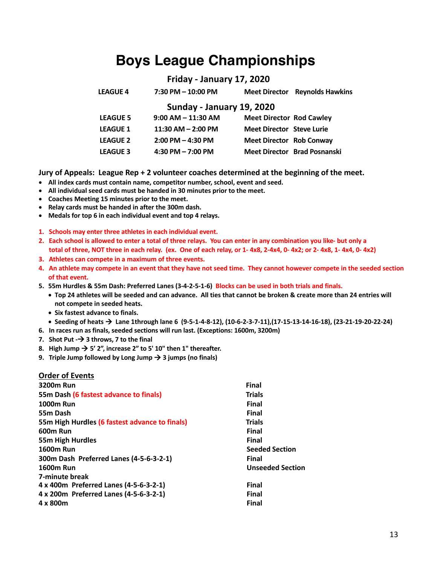## **Boys League Championships**

#### **Friday - January 17, 2020**

| <b>LEAGUE 4</b> | 7:30 PM - 10:00 PM | <b>Meet Director</b> Reynolds Hawkins |
|-----------------|--------------------|---------------------------------------|
|                 |                    |                                       |

#### **Sunday - January 19, 2020**

| <b>LEAGUE 5</b> | $9:00$ AM $-$ 11:30 AM | <b>Meet Director Rod Cawley</b>  |                              |
|-----------------|------------------------|----------------------------------|------------------------------|
| <b>LEAGUE 1</b> | $11:30$ AM $- 2:00$ PM | <b>Meet Director Steve Lurie</b> |                              |
| <b>LEAGUE 2</b> | $2:00$ PM $-$ 4:30 PM  | <b>Meet Director Rob Conway</b>  |                              |
| <b>LEAGUE 3</b> | 4:30 PM $-$ 7:00 PM    |                                  | Meet Director Brad Posnanski |

**Jury of Appeals: League Rep + 2 volunteer coaches determined at the beginning of the meet.**

- **All index cards must contain name, competitor number, school, event and seed.**
- **All individual seed cards must be handed in 30 minutes prior to the meet.**
- **Coaches Meeting 15 minutes prior to the meet.**
- **Relay cards must be handed in after the 300m dash.**
- **Medals for top 6 in each individual event and top 4 relays.**
- **1. Schools may enter three athletes in each individual event.**
- **2. Each school is allowed to enter a total of three relays. You can enter in any combination you like- but only a total of three, NOT three in each relay. (ex. One of each relay, or 1- 4x8, 2-4x4, 0- 4x2; or 2- 4x8, 1- 4x4, 0- 4x2)**
- **3. Athletes can compete in a maximum of three events.**
- **4. An athlete may compete in an event that they have not seed time. They cannot however compete in the seeded section of that event.**
- **5. 55m Hurdles & 55m Dash: Preferred Lanes (3-4-2-5-1-6) Blocks can be used in both trials and finals.** 
	- **Top 24 athletes will be seeded and can advance. All ties that cannot be broken & create more than 24 entries will not compete in seeded heats.**
	- **Six fastest advance to finals.**
	- **Seeding of heats** à **Lane 1through lane 6 (9-5-1-4-8-12), (10-6-2-3-7-11),(17-15-13-14-16-18), (23-21-19-20-22-24)**
- **6. In races run as finals, seeded sections will run last. (Exceptions: 1600m, 3200m)**
- **7. Shot Put -**à **3 throws, 7 to the final**
- 8. High Jump  $\rightarrow$  5' 2", increase 2" to 5' 10" then 1" thereafter.
- **9. Triple Jump followed by Long Jump**  $\rightarrow$  **3 jumps (no finals)**

#### **Order of Events**

| 3200m Run                                      | <b>Final</b>            |
|------------------------------------------------|-------------------------|
| 55m Dash (6 fastest advance to finals)         | <b>Trials</b>           |
| <b>1000m Run</b>                               | Final                   |
| 55m Dash                                       | Final                   |
| 55m High Hurdles (6 fastest advance to finals) | <b>Trials</b>           |
| 600m Run                                       | <b>Final</b>            |
| 55m High Hurdles                               | <b>Final</b>            |
| <b>1600m Run</b>                               | <b>Seeded Section</b>   |
| 300m Dash Preferred Lanes (4-5-6-3-2-1)        | Final                   |
| <b>1600m Run</b>                               | <b>Unseeded Section</b> |
| 7-minute break                                 |                         |
| 4 x 400m Preferred Lanes (4-5-6-3-2-1)         | <b>Final</b>            |
| 4 x 200m Preferred Lanes (4-5-6-3-2-1)         | <b>Final</b>            |
| 4 x 800m                                       | <b>Final</b>            |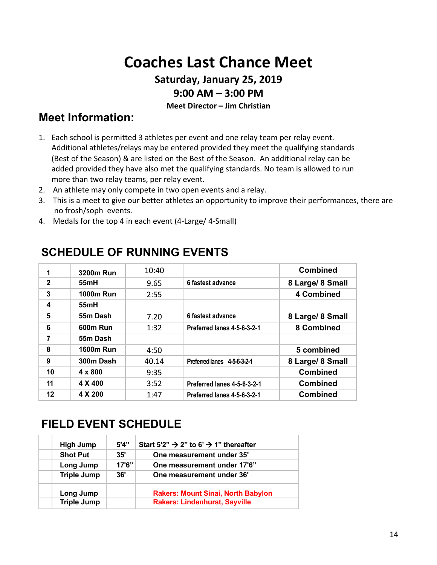# **Coaches Last Chance Meet**

## **Saturday, January 25, 2019**

#### **9:00 AM – 3:00 PM**

#### **Meet Director – Jim Christian**

## **Meet Information:**

- 1. Each school is permitted 3 athletes per event and one relay team per relay event. Additional athletes/relays may be entered provided they meet the qualifying standards (Best of the Season) & are listed on the Best of the Season. An additional relay can be added provided they have also met the qualifying standards. No team is allowed to run more than two relay teams, per relay event.
- 2. An athlete may only compete in two open events and a relay.
- 3. This is a meet to give our better athletes an opportunity to improve their performances, there are no frosh/soph events.
- 4. Medals for the top 4 in each event (4-Large/ 4-Small)

|              | 3200m Run        | 10:40 |                             | <b>Combined</b>  |
|--------------|------------------|-------|-----------------------------|------------------|
| $\mathbf{2}$ | 55mH             | 9.65  | 6 fastest advance           | 8 Large/ 8 Small |
| 3            | <b>1000m Run</b> | 2:55  |                             | 4 Combined       |
| 4            | 55mH             |       |                             |                  |
| 5            | 55m Dash         | 7.20  | 6 fastest advance           | 8 Large/ 8 Small |
| 6            | <b>600m Run</b>  | 1:32  | Preferred lanes 4-5-6-3-2-1 | 8 Combined       |
| 7            | 55m Dash         |       |                             |                  |
| 8            | <b>1600m Run</b> | 4:50  |                             | 5 combined       |
| 9            | 300m Dash        | 40.14 | Preferred lanes 4-5-6-3-2-1 | 8 Large/ 8 Small |
| 10           | $4 \times 800$   | 9:35  |                             | <b>Combined</b>  |
| 11           | 4 X 400          | 3:52  | Preferred lanes 4-5-6-3-2-1 | <b>Combined</b>  |
| 12           | 4 X 200          | 1:47  | Preferred lanes 4-5-6-3-2-1 | <b>Combined</b>  |

## **SCHEDULE OF RUNNING EVENTS**

## **FIELD EVENT SCHEDULE**

| <b>High Jump</b>   | 5'4''  | Start 5'2" $\rightarrow$ 2" to 6' $\rightarrow$ 1" thereafter |
|--------------------|--------|---------------------------------------------------------------|
| <b>Shot Put</b>    | 35'    | One measurement under 35'                                     |
| Long Jump          | 17'6'' | One measurement under 17'6"                                   |
| <b>Triple Jump</b> | 36'    | One measurement under 36'                                     |
| Long Jump          |        | <b>Rakers: Mount Sinai, North Babylon</b>                     |
| <b>Triple Jump</b> |        | <b>Rakers: Lindenhurst, Sayville</b>                          |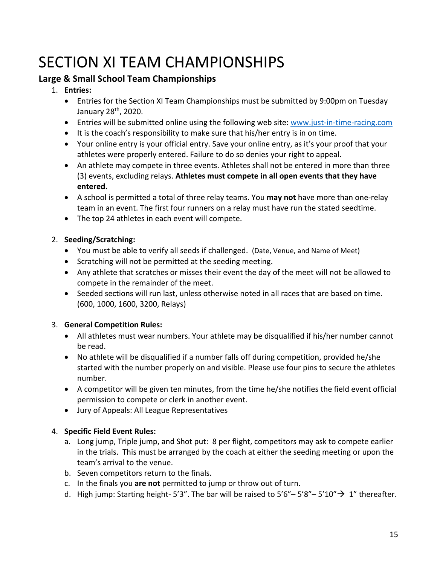# SECTION XI TEAM CHAMPIONSHIPS

#### **Large & Small School Team Championships**

#### 1. **Entries:**

- Entries for the Section XI Team Championships must be submitted by 9:00pm on Tuesday January 28th, 2020.
- Entries will be submitted online using the following web site: www.just-in-time-racing.com
- It is the coach's responsibility to make sure that his/her entry is in on time.
- Your online entry is your official entry. Save your online entry, as it's your proof that your athletes were properly entered. Failure to do so denies your right to appeal.
- An athlete may compete in three events. Athletes shall not be entered in more than three (3) events, excluding relays. **Athletes must compete in all open events that they have entered.**
- A school is permitted a total of three relay teams. You **may not** have more than one-relay team in an event. The first four runners on a relay must have run the stated seedtime.
- The top 24 athletes in each event will compete.

#### 2. **Seeding/Scratching:**

- You must be able to verify all seeds if challenged. (Date, Venue, and Name of Meet)
- Scratching will not be permitted at the seeding meeting.
- Any athlete that scratches or misses their event the day of the meet will not be allowed to compete in the remainder of the meet.
- Seeded sections will run last, unless otherwise noted in all races that are based on time. (600, 1000, 1600, 3200, Relays)

#### 3. **General Competition Rules:**

- All athletes must wear numbers. Your athlete may be disqualified if his/her number cannot be read.
- No athlete will be disqualified if a number falls off during competition, provided he/she started with the number properly on and visible. Please use four pins to secure the athletes number.
- A competitor will be given ten minutes, from the time he/she notifies the field event official permission to compete or clerk in another event.
- Jury of Appeals: All League Representatives

#### 4. **Specific Field Event Rules:**

- a. Long jump, Triple jump, and Shot put: 8 per flight, competitors may ask to compete earlier in the trials. This must be arranged by the coach at either the seeding meeting or upon the team's arrival to the venue.
- b. Seven competitors return to the finals.
- c. In the finals you **are not** permitted to jump or throw out of turn.
- d. High jump: Starting height- 5'3". The bar will be raised to 5'6" 5'8" 5'10"  $\rightarrow$  1" thereafter.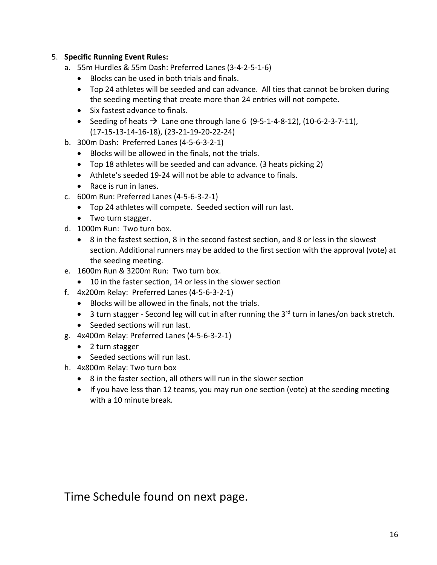#### 5. **Specific Running Event Rules:**

- a. 55m Hurdles & 55m Dash: Preferred Lanes (3-4-2-5-1-6)
	- Blocks can be used in both trials and finals.
	- Top 24 athletes will be seeded and can advance. All ties that cannot be broken during the seeding meeting that create more than 24 entries will not compete.
	- Six fastest advance to finals.
	- Seeding of heats  $\rightarrow$  Lane one through lane 6 (9-5-1-4-8-12), (10-6-2-3-7-11), (17-15-13-14-16-18), (23-21-19-20-22-24)
- b. 300m Dash: Preferred Lanes (4-5-6-3-2-1)
	- Blocks will be allowed in the finals, not the trials.
	- Top 18 athletes will be seeded and can advance. (3 heats picking 2)
	- Athlete's seeded 19-24 will not be able to advance to finals.
	- Race is run in lanes.
- c. 600m Run: Preferred Lanes (4-5-6-3-2-1)
	- Top 24 athletes will compete. Seeded section will run last.
	- Two turn stagger.
- d. 1000m Run: Two turn box.
	- 8 in the fastest section, 8 in the second fastest section, and 8 or less in the slowest section. Additional runners may be added to the first section with the approval (vote) at the seeding meeting.
- e. 1600m Run & 3200m Run: Two turn box.
	- 10 in the faster section, 14 or less in the slower section
- f. 4x200m Relay: Preferred Lanes (4-5-6-3-2-1)
	- Blocks will be allowed in the finals, not the trials.
	- $\bullet$  3 turn stagger Second leg will cut in after running the 3<sup>rd</sup> turn in lanes/on back stretch.
	- Seeded sections will run last.
- g. 4x400m Relay: Preferred Lanes (4-5-6-3-2-1)
	- 2 turn stagger
	- Seeded sections will run last.
- h. 4x800m Relay: Two turn box
	- 8 in the faster section, all others will run in the slower section
	- If you have less than 12 teams, you may run one section (vote) at the seeding meeting with a 10 minute break.

Time Schedule found on next page.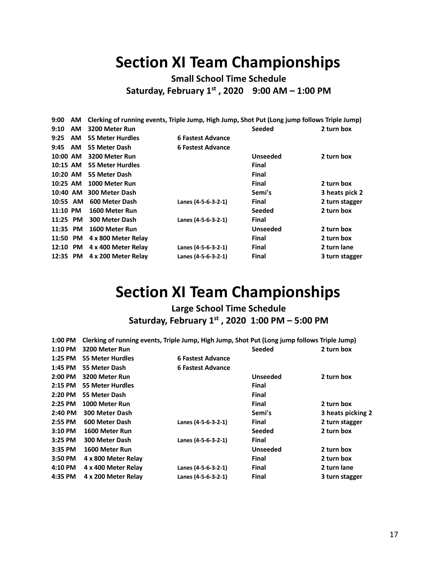## **Section XI Team Championships**

**Small School Time Schedule Saturday, February 1st , 2020 9:00 AM – 1:00 PM**

| 9:00     | AM.       | Clerking of running events, Triple Jump, High Jump, Shot Put (Long jump follows Triple Jump) |                     |                 |                |
|----------|-----------|----------------------------------------------------------------------------------------------|---------------------|-----------------|----------------|
| 9:10     | <b>AM</b> | 3200 Meter Run                                                                               |                     | <b>Seeded</b>   | 2 turn box     |
| 9:25     | <b>AM</b> | <b>55 Meter Hurdles</b>                                                                      | 6 Fastest Advance   |                 |                |
| 9:45     | <b>AM</b> | 55 Meter Dash                                                                                | 6 Fastest Advance   |                 |                |
| 10:00 AM |           | 3200 Meter Run                                                                               |                     | <b>Unseeded</b> | 2 turn box     |
| 10:15 AM |           | <b>55 Meter Hurdles</b>                                                                      |                     | Final           |                |
| 10:20 AM |           | 55 Meter Dash                                                                                |                     | <b>Final</b>    |                |
| 10:25 AM |           | 1000 Meter Run                                                                               |                     | <b>Final</b>    | 2 turn box     |
| 10:40 AM |           | <b>300 Meter Dash</b>                                                                        |                     | Semi's          | 3 heats pick 2 |
| 10:55 AM |           | 600 Meter Dash                                                                               | Lanes (4-5-6-3-2-1) | Final           | 2 turn stagger |
| 11:10 PM |           | 1600 Meter Run                                                                               |                     | <b>Seeded</b>   | 2 turn box     |
| 11:25 PM |           | 300 Meter Dash                                                                               | Lanes (4-5-6-3-2-1) | Final           |                |
| 11:35    | PM        | 1600 Meter Run                                                                               |                     | <b>Unseeded</b> | 2 turn box     |
| 11:50 PM |           | 4 x 800 Meter Relay                                                                          |                     | <b>Final</b>    | 2 turn box     |
| 12:10 PM |           | 4 x 400 Meter Relay                                                                          | Lanes (4-5-6-3-2-1) | <b>Final</b>    | 2 turn lane    |
| 12:35 PM |           | 4 x 200 Meter Relay                                                                          | Lanes (4-5-6-3-2-1) | <b>Final</b>    | 3 turn stagger |

## **Section XI Team Championships**

**Large School Time Schedule Saturday, February 1st , 2020 1:00 PM – 5:00 PM**

| 1:00 PM   | Clerking of running events, Triple Jump, High Jump, Shot Put (Long jump follows Triple Jump) |                          |                 |                   |
|-----------|----------------------------------------------------------------------------------------------|--------------------------|-----------------|-------------------|
| 1:10 PM   | 3200 Meter Run                                                                               |                          | <b>Seeded</b>   | 2 turn box        |
| 1:25 PM   | <b>55 Meter Hurdles</b>                                                                      | 6 Fastest Advance        |                 |                   |
| 1:45 PM   | 55 Meter Dash                                                                                | <b>6 Fastest Advance</b> |                 |                   |
| $2:00$ PM | 3200 Meter Run                                                                               |                          | <b>Unseeded</b> | 2 turn box        |
| 2:15 PM   | <b>55 Meter Hurdles</b>                                                                      |                          | Final           |                   |
| 2:20 PM   | 55 Meter Dash                                                                                |                          | Final           |                   |
| 2:25 PM   | 1000 Meter Run                                                                               |                          | <b>Final</b>    | 2 turn box        |
| 2:40 PM   | 300 Meter Dash                                                                               |                          | Semi's          | 3 heats picking 2 |
| 2:55 PM   | 600 Meter Dash                                                                               | Lanes (4-5-6-3-2-1)      | Final           | 2 turn stagger    |
| $3:10$ PM | 1600 Meter Run                                                                               |                          | <b>Seeded</b>   | 2 turn box        |
| 3:25 PM   | 300 Meter Dash                                                                               | Lanes (4-5-6-3-2-1)      | <b>Final</b>    |                   |
| 3:35 PM   | 1600 Meter Run                                                                               |                          | <b>Unseeded</b> | 2 turn box        |
| 3:50 PM   | 4 x 800 Meter Relay                                                                          |                          | <b>Final</b>    | 2 turn box        |
| 4:10 PM   | 4 x 400 Meter Relay                                                                          | Lanes (4-5-6-3-2-1)      | <b>Final</b>    | 2 turn lane       |
| 4:35 PM   | 4 x 200 Meter Relay                                                                          | Lanes (4-5-6-3-2-1)      | <b>Final</b>    | 3 turn stagger    |
|           |                                                                                              |                          |                 |                   |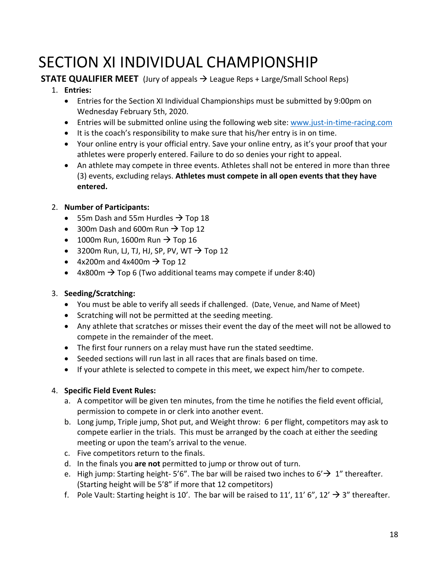# SECTION XI INDIVIDUAL CHAMPIONSHIP

#### **STATE QUALIFIER MEET** (Jury of appeals → League Reps + Large/Small School Reps)

#### 1. **Entries:**

- Entries for the Section XI Individual Championships must be submitted by 9:00pm on Wednesday February 5th, 2020.
- Entries will be submitted online using the following web site: www.just-in-time-racing.com
- It is the coach's responsibility to make sure that his/her entry is in on time.
- Your online entry is your official entry. Save your online entry, as it's your proof that your athletes were properly entered. Failure to do so denies your right to appeal.
- An athlete may compete in three events. Athletes shall not be entered in more than three (3) events, excluding relays. **Athletes must compete in all open events that they have entered.**

#### 2. **Number of Participants:**

- 55m Dash and 55m Hurdles  $\rightarrow$  Top 18
- 300m Dash and 600m Run  $\rightarrow$  Top 12
- 1000m Run, 1600m Run  $\rightarrow$  Top 16
- 3200m Run, LJ, TJ, HJ, SP, PV, WT  $\rightarrow$  Top 12
- $4x200m$  and  $4x400m \rightarrow$  Top 12
- $4x800m \rightarrow$  Top 6 (Two additional teams may compete if under 8:40)

#### 3. **Seeding/Scratching:**

- You must be able to verify all seeds if challenged. (Date, Venue, and Name of Meet)
- Scratching will not be permitted at the seeding meeting.
- Any athlete that scratches or misses their event the day of the meet will not be allowed to compete in the remainder of the meet.
- The first four runners on a relay must have run the stated seedtime.
- Seeded sections will run last in all races that are finals based on time.
- If your athlete is selected to compete in this meet, we expect him/her to compete.

#### 4. **Specific Field Event Rules:**

- a. A competitor will be given ten minutes, from the time he notifies the field event official, permission to compete in or clerk into another event.
- b. Long jump, Triple jump, Shot put, and Weight throw: 6 per flight, competitors may ask to compete earlier in the trials. This must be arranged by the coach at either the seeding meeting or upon the team's arrival to the venue.
- c. Five competitors return to the finals.
- d. In the finals you **are not** permitted to jump or throw out of turn.
- e. High jump: Starting height-5'6". The bar will be raised two inches to 6' $\rightarrow$  1" thereafter. (Starting height will be 5'8" if more that 12 competitors)
- f. Pole Vault: Starting height is 10'. The bar will be raised to 11', 11' 6", 12'  $\rightarrow$  3" thereafter.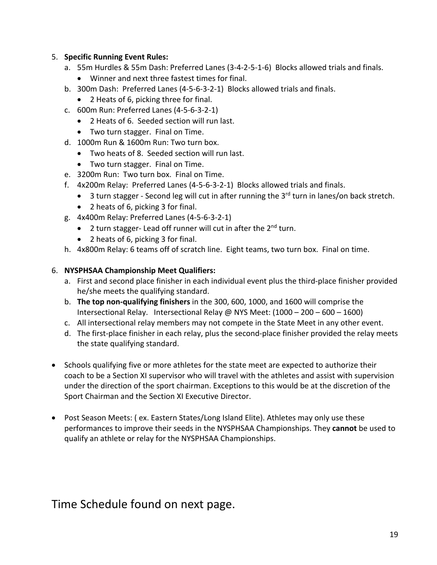#### 5. **Specific Running Event Rules:**

- a. 55m Hurdles & 55m Dash: Preferred Lanes (3-4-2-5-1-6) Blocks allowed trials and finals.
	- Winner and next three fastest times for final.
- b. 300m Dash: Preferred Lanes (4-5-6-3-2-1) Blocks allowed trials and finals.
	- 2 Heats of 6, picking three for final.
- c. 600m Run: Preferred Lanes (4-5-6-3-2-1)
	- 2 Heats of 6. Seeded section will run last.
	- Two turn stagger. Final on Time.
- d. 1000m Run & 1600m Run: Two turn box.
	- Two heats of 8. Seeded section will run last.
	- Two turn stagger. Final on Time.
- e. 3200m Run: Two turn box. Final on Time.
- f. 4x200m Relay: Preferred Lanes (4-5-6-3-2-1) Blocks allowed trials and finals.
	- 3 turn stagger Second leg will cut in after running the 3<sup>rd</sup> turn in lanes/on back stretch.
	- 2 heats of 6, picking 3 for final.
- g. 4x400m Relay: Preferred Lanes (4-5-6-3-2-1)
	- 2 turn stagger- Lead off runner will cut in after the 2<sup>nd</sup> turn.
	- 2 heats of 6, picking 3 for final.
- h. 4x800m Relay: 6 teams off of scratch line. Eight teams, two turn box. Final on time.

#### 6. **NYSPHSAA Championship Meet Qualifiers:**

- a. First and second place finisher in each individual event plus the third-place finisher provided he/she meets the qualifying standard.
- b. **The top non-qualifying finishers** in the 300, 600, 1000, and 1600 will comprise the Intersectional Relay. Intersectional Relay @ NYS Meet: (1000 – 200 – 600 – 1600)
- c. All intersectional relay members may not compete in the State Meet in any other event.
- d. The first-place finisher in each relay, plus the second-place finisher provided the relay meets the state qualifying standard.
- Schools qualifying five or more athletes for the state meet are expected to authorize their coach to be a Section XI supervisor who will travel with the athletes and assist with supervision under the direction of the sport chairman. Exceptions to this would be at the discretion of the Sport Chairman and the Section XI Executive Director.
- Post Season Meets: ( ex. Eastern States/Long Island Elite). Athletes may only use these performances to improve their seeds in the NYSPHSAA Championships. They **cannot** be used to qualify an athlete or relay for the NYSPHSAA Championships.

#### Time Schedule found on next page.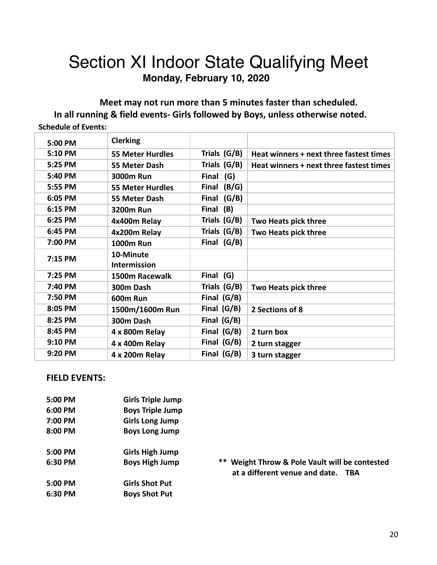## Section XI Indoor State Qualifying Meet **Monday, February 10, 2020**

**Meet may not run more than 5 minutes faster than scheduled. In all running & field events- Girls followed by Boys, unless otherwise noted. Schedule of Events:**

| 5:00 PM | <b>Clerking</b>         |               |                                         |
|---------|-------------------------|---------------|-----------------------------------------|
| 5:10 PM | <b>55 Meter Hurdles</b> | Trials (G/B)  | Heat winners + next three fastest times |
| 5:25 PM | 55 Meter Dash           | Trials (G/B)  | Heat winners + next three fastest times |
| 5:40 PM | <b>3000m Run</b>        | Final (G)     |                                         |
| 5:55 PM | <b>55 Meter Hurdles</b> | Final $(B/G)$ |                                         |
| 6:05 PM | 55 Meter Dash           | Final (G/B)   |                                         |
| 6:15 PM | <b>3200m Run</b>        | Final (B)     |                                         |
| 6:25 PM | 4x400m Relay            | Trials (G/B)  | Two Heats pick three                    |
| 6:45 PM | 4x200m Relay            | Trials (G/B)  | Two Heats pick three                    |
| 7:00 PM | <b>1000m Run</b>        | Final (G/B)   |                                         |
| 7:15 PM | 10-Minute               |               |                                         |
|         | <b>Intermission</b>     |               |                                         |
| 7:25 PM | 1500m Racewalk          | Final (G)     |                                         |
| 7:40 PM | 300m Dash               | Trials (G/B)  | Two Heats pick three                    |
| 7:50 PM | 600m Run                | Final (G/B)   |                                         |
| 8:05 PM | 1500m/1600m Run         | Final (G/B)   | 2 Sections of 8                         |
| 8:25 PM | 300m Dash               | Final (G/B)   |                                         |
| 8:45 PM | 4 x 800m Relay          | Final (G/B)   | 2 turn box                              |
| 9:10 PM | 4 x 400m Relay          | Final $(G/B)$ | 2 turn stagger                          |
| 9:20 PM | 4 x 200m Relay          | Final (G/B)   | 3 turn stagger                          |
|         |                         |               |                                         |

#### **FIELD EVENTS:**

| 5:00 PM   | <b>Girls Triple Jump</b> |
|-----------|--------------------------|
| $6:00$ PM | <b>Boys Triple Jump</b>  |
| 7:00 PM   | <b>Girls Long Jump</b>   |
| 8:00 PM   | <b>Boys Long Jump</b>    |
| $5:00$ PM | <b>Girls High Jump</b>   |
| $6:30$ PM | <b>Boys High Jump</b>    |
| 5:00 PM   | <b>Girls Shot Put</b>    |
| $6:30$ PM | <b>Boys Shot Put</b>     |

\*\* Weight Throw & Pole Vault will be contested  **at a different venue and date. TBA**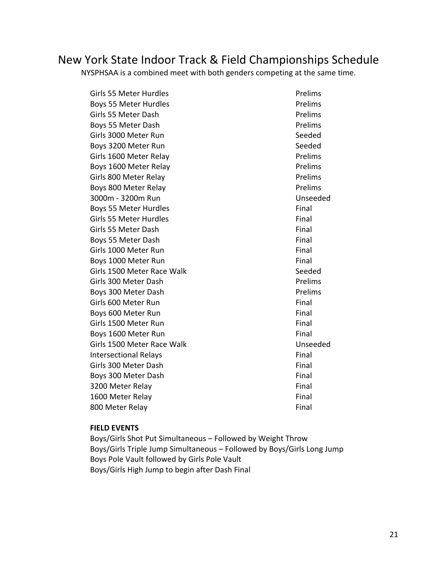## New York State Indoor Track & Field Championships Schedule

NYSPHSAA is a combined meet with both genders competing at the same time.

Girls 55 Meter Hurdles **Prelims** Boys 55 Meter Hurdles **Prelims** Girls 55 Meter Dash **Prelims** Boys 55 Meter Dash **Prelims** Girls 3000 Meter Run Seeded Boys 3200 Meter Run Seeded Girls 1600 Meter Relay **Prelims** Boys 1600 Meter Relay **Prelims** Girls 800 Meter Relay **Prelims** Boys 800 Meter Relay **Prelims** 3000m - 3200m Run Unseeded Boys 55 Meter Hurdles **Final** Girls 55 Meter Hurdles **Final** Girls 55 Meter Dash Final Boys 55 Meter Dash Final Girls 1000 Meter Run Final Boys 1000 Meter Run Final Girls 1500 Meter Race Walk Seeded Girls 300 Meter Dash **Prelims** Boys 300 Meter Dash **Prelims** Girls 600 Meter Run Final Boys 600 Meter Run Final Girls 1500 Meter Run Final Boys 1600 Meter Run Final Girls 1500 Meter Race Walk Unseeded Intersectional Relays **Final** Girls 300 Meter Dash Final Boys 300 Meter Dash Final 3200 Meter Relay **Final** 1600 Meter Relay **Final** 800 Meter Relay **Final** 

#### **FIELD EVENTS**

Boys/Girls Shot Put Simultaneous – Followed by Weight Throw Boys/Girls Triple Jump Simultaneous – Followed by Boys/Girls Long Jump Boys Pole Vault followed by Girls Pole Vault Boys/Girls High Jump to begin after Dash Final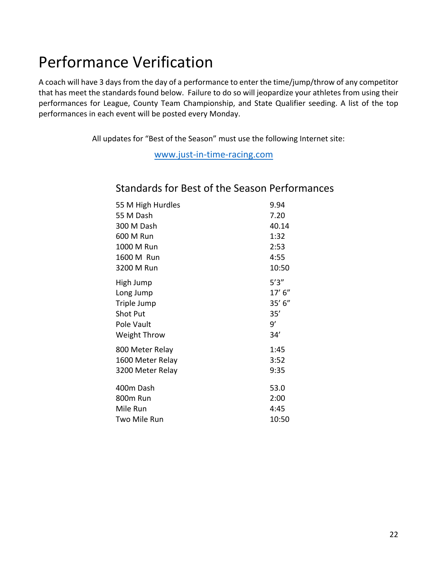## Performance Verification

A coach will have 3 days from the day of a performance to enter the time/jump/throw of any competitor that has meet the standards found below. Failure to do so will jeopardize your athletes from using their performances for League, County Team Championship, and State Qualifier seeding. A list of the top performances in each event will be posted every Monday.

All updates for "Best of the Season" must use the following Internet site:

www.just-in-time-racing.com

| 55 M High Hurdles   | 9.94    |
|---------------------|---------|
| 55 M Dash           | 7.20    |
| 300 M Dash          | 40.14   |
| 600 M Run           | 1:32    |
| 1000 M Run          | 2:53    |
| 1600 M Run          | 4:55    |
| 3200 M Run          | 10:50   |
| High Jump           | 5'3''   |
| Long Jump           | 17' 6'' |
| Triple Jump         | 35' 6'' |
| <b>Shot Put</b>     | 35'     |
| Pole Vault          | 9'      |
| <b>Weight Throw</b> | 34'     |
| 800 Meter Relay     | 1:45    |
| 1600 Meter Relay    | 3:52    |
| 3200 Meter Relay    | 9:35    |
| 400m Dash           | 53.0    |
| 800m Run            | 2:00    |
| Mile Run            | 4:45    |
| Two Mile Run        | 10:50   |

#### Standards for Best of the Season Performances